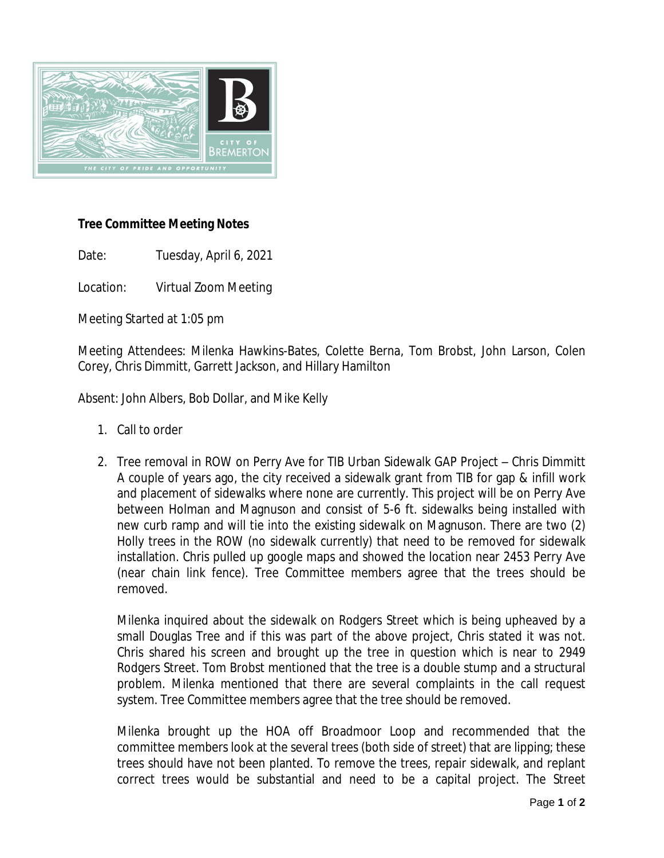

## **Tree Committee Meeting Notes**

Date: Tuesday, April 6, 2021

Location: Virtual Zoom Meeting

Meeting Started at 1:05 pm

Meeting Attendees: Milenka Hawkins-Bates, Colette Berna, Tom Brobst, John Larson, Colen Corey, Chris Dimmitt, Garrett Jackson, and Hillary Hamilton

Absent: John Albers, Bob Dollar, and Mike Kelly

- 1. Call to order
- 2. Tree removal in ROW on Perry Ave for TIB Urban Sidewalk GAP Project Chris Dimmitt A couple of years ago, the city received a sidewalk grant from TIB for gap & infill work and placement of sidewalks where none are currently. This project will be on Perry Ave between Holman and Magnuson and consist of 5-6 ft. sidewalks being installed with new curb ramp and will tie into the existing sidewalk on Magnuson. There are two (2) Holly trees in the ROW (no sidewalk currently) that need to be removed for sidewalk installation. Chris pulled up google maps and showed the location near 2453 Perry Ave (near chain link fence). Tree Committee members agree that the trees should be removed.

Milenka inquired about the sidewalk on Rodgers Street which is being upheaved by a small Douglas Tree and if this was part of the above project, Chris stated it was not. Chris shared his screen and brought up the tree in question which is near to 2949 Rodgers Street. Tom Brobst mentioned that the tree is a double stump and a structural problem. Milenka mentioned that there are several complaints in the call request system. Tree Committee members agree that the tree should be removed.

Milenka brought up the HOA off Broadmoor Loop and recommended that the committee members look at the several trees (both side of street) that are lipping; these trees should have not been planted. To remove the trees, repair sidewalk, and replant correct trees would be substantial and need to be a capital project. The Street